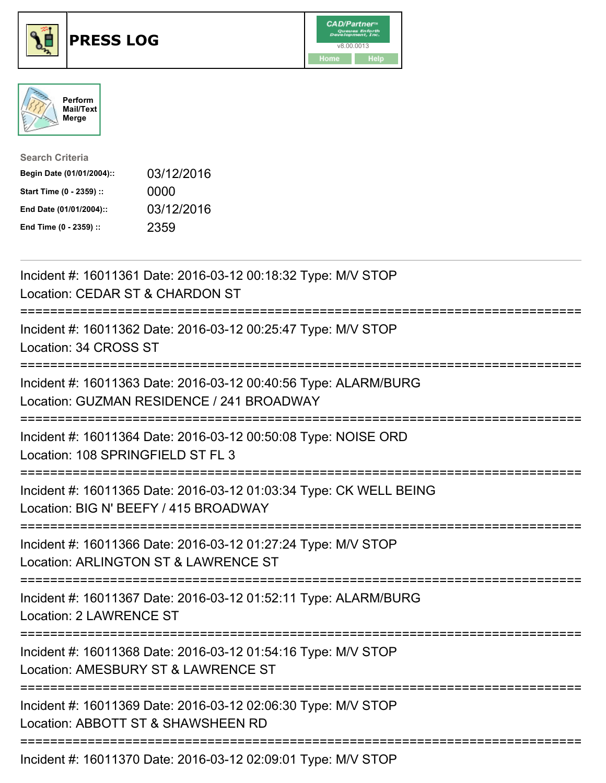





| <b>Search Criteria</b>    |            |
|---------------------------|------------|
| Begin Date (01/01/2004):: | 03/12/2016 |
| Start Time (0 - 2359) ::  | 0000       |
| End Date (01/01/2004)::   | 03/12/2016 |
| End Time (0 - 2359) ::    | 2359       |

| Incident #: 16011361 Date: 2016-03-12 00:18:32 Type: M/V STOP<br>Location: CEDAR ST & CHARDON ST                                             |
|----------------------------------------------------------------------------------------------------------------------------------------------|
| Incident #: 16011362 Date: 2016-03-12 00:25:47 Type: M/V STOP<br>Location: 34 CROSS ST                                                       |
| Incident #: 16011363 Date: 2016-03-12 00:40:56 Type: ALARM/BURG<br>Location: GUZMAN RESIDENCE / 241 BROADWAY<br>======================       |
| Incident #: 16011364 Date: 2016-03-12 00:50:08 Type: NOISE ORD<br>Location: 108 SPRINGFIELD ST FL 3<br>==============                        |
| Incident #: 16011365 Date: 2016-03-12 01:03:34 Type: CK WELL BEING<br>Location: BIG N' BEEFY / 415 BROADWAY<br>----------------------------- |
| Incident #: 16011366 Date: 2016-03-12 01:27:24 Type: M/V STOP<br>Location: ARLINGTON ST & LAWRENCE ST                                        |
| Incident #: 16011367 Date: 2016-03-12 01:52:11 Type: ALARM/BURG<br><b>Location: 2 LAWRENCE ST</b>                                            |
| Incident #: 16011368 Date: 2016-03-12 01:54:16 Type: M/V STOP<br>Location: AMESBURY ST & LAWRENCE ST                                         |
| Incident #: 16011369 Date: 2016-03-12 02:06:30 Type: M/V STOP<br>Location: ABBOTT ST & SHAWSHEEN RD                                          |
| Incident #: 16011370 Date: 2016-03-12 02:09:01 Type: M/V STOP                                                                                |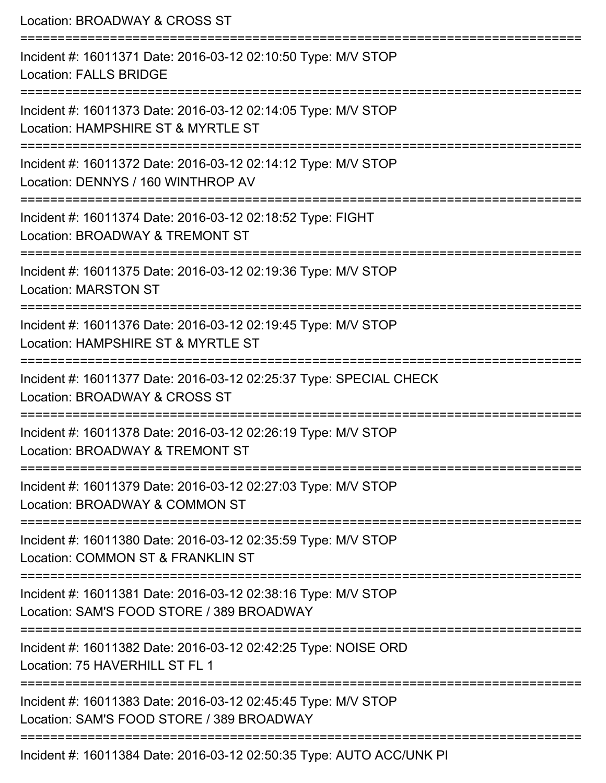| Location: BROADWAY & CROSS ST                                                                                                                |
|----------------------------------------------------------------------------------------------------------------------------------------------|
| Incident #: 16011371 Date: 2016-03-12 02:10:50 Type: M/V STOP<br><b>Location: FALLS BRIDGE</b>                                               |
| Incident #: 16011373 Date: 2016-03-12 02:14:05 Type: M/V STOP<br>Location: HAMPSHIRE ST & MYRTLE ST<br>===================================== |
| Incident #: 16011372 Date: 2016-03-12 02:14:12 Type: M/V STOP<br>Location: DENNYS / 160 WINTHROP AV                                          |
| Incident #: 16011374 Date: 2016-03-12 02:18:52 Type: FIGHT<br>Location: BROADWAY & TREMONT ST                                                |
| Incident #: 16011375 Date: 2016-03-12 02:19:36 Type: M/V STOP<br><b>Location: MARSTON ST</b>                                                 |
| Incident #: 16011376 Date: 2016-03-12 02:19:45 Type: M/V STOP<br>Location: HAMPSHIRE ST & MYRTLE ST                                          |
| Incident #: 16011377 Date: 2016-03-12 02:25:37 Type: SPECIAL CHECK<br>Location: BROADWAY & CROSS ST                                          |
| Incident #: 16011378 Date: 2016-03-12 02:26:19 Type: M/V STOP<br>Location: BROADWAY & TREMONT ST                                             |
| Incident #: 16011379 Date: 2016-03-12 02:27:03 Type: M/V STOP<br>Location: BROADWAY & COMMON ST                                              |
| Incident #: 16011380 Date: 2016-03-12 02:35:59 Type: M/V STOP<br>Location: COMMON ST & FRANKLIN ST                                           |
| Incident #: 16011381 Date: 2016-03-12 02:38:16 Type: M/V STOP<br>Location: SAM'S FOOD STORE / 389 BROADWAY                                   |
| Incident #: 16011382 Date: 2016-03-12 02:42:25 Type: NOISE ORD<br>Location: 75 HAVERHILL ST FL 1                                             |
| Incident #: 16011383 Date: 2016-03-12 02:45:45 Type: M/V STOP<br>Location: SAM'S FOOD STORE / 389 BROADWAY                                   |
| Incident #: 16011384 Date: 2016-03-12 02:50:35 Type: AUTO ACC/UNK PI                                                                         |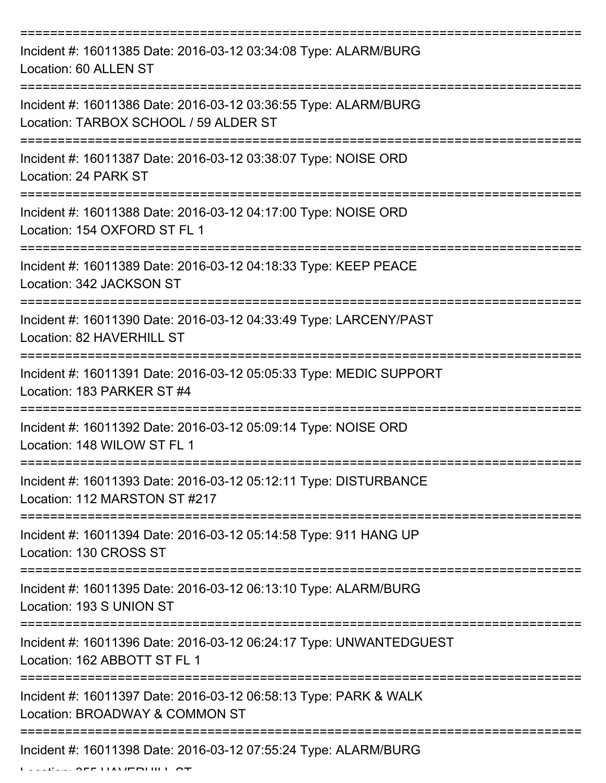| Incident #: 16011385 Date: 2016-03-12 03:34:08 Type: ALARM/BURG<br>Location: 60 ALLEN ST                 |
|----------------------------------------------------------------------------------------------------------|
| Incident #: 16011386 Date: 2016-03-12 03:36:55 Type: ALARM/BURG<br>Location: TARBOX SCHOOL / 59 ALDER ST |
| Incident #: 16011387 Date: 2016-03-12 03:38:07 Type: NOISE ORD<br>Location: 24 PARK ST                   |
| Incident #: 16011388 Date: 2016-03-12 04:17:00 Type: NOISE ORD<br>Location: 154 OXFORD ST FL 1           |
| Incident #: 16011389 Date: 2016-03-12 04:18:33 Type: KEEP PEACE<br>Location: 342 JACKSON ST              |
| Incident #: 16011390 Date: 2016-03-12 04:33:49 Type: LARCENY/PAST<br>Location: 82 HAVERHILL ST           |
| Incident #: 16011391 Date: 2016-03-12 05:05:33 Type: MEDIC SUPPORT<br>Location: 183 PARKER ST #4         |
| Incident #: 16011392 Date: 2016-03-12 05:09:14 Type: NOISE ORD<br>Location: 148 WILOW ST FL 1            |
| Incident #: 16011393 Date: 2016-03-12 05:12:11 Type: DISTURBANCE<br>Location: 112 MARSTON ST #217        |
| Incident #: 16011394 Date: 2016-03-12 05:14:58 Type: 911 HANG UP<br>Location: 130 CROSS ST               |
| Incident #: 16011395 Date: 2016-03-12 06:13:10 Type: ALARM/BURG<br>Location: 193 S UNION ST              |
| Incident #: 16011396 Date: 2016-03-12 06:24:17 Type: UNWANTEDGUEST<br>Location: 162 ABBOTT ST FL 1       |
| Incident #: 16011397 Date: 2016-03-12 06:58:13 Type: PARK & WALK<br>Location: BROADWAY & COMMON ST       |
| Incident #: 16011398 Date: 2016-03-12 07:55:24 Type: ALARM/BURG                                          |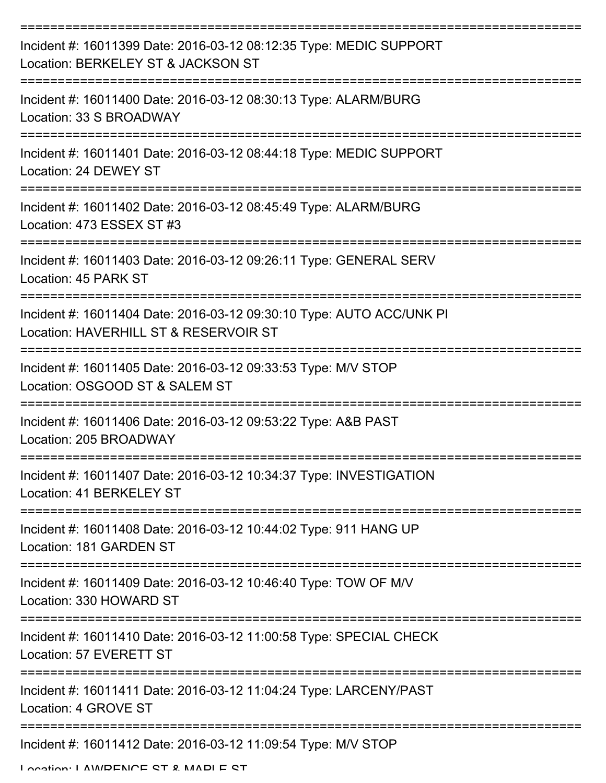| Incident #: 16011399 Date: 2016-03-12 08:12:35 Type: MEDIC SUPPORT<br>Location: BERKELEY ST & JACKSON ST      |
|---------------------------------------------------------------------------------------------------------------|
| Incident #: 16011400 Date: 2016-03-12 08:30:13 Type: ALARM/BURG<br>Location: 33 S BROADWAY                    |
| Incident #: 16011401 Date: 2016-03-12 08:44:18 Type: MEDIC SUPPORT<br>Location: 24 DEWEY ST                   |
| Incident #: 16011402 Date: 2016-03-12 08:45:49 Type: ALARM/BURG<br>Location: 473 ESSEX ST #3                  |
| Incident #: 16011403 Date: 2016-03-12 09:26:11 Type: GENERAL SERV<br>Location: 45 PARK ST                     |
| Incident #: 16011404 Date: 2016-03-12 09:30:10 Type: AUTO ACC/UNK PI<br>Location: HAVERHILL ST & RESERVOIR ST |
| Incident #: 16011405 Date: 2016-03-12 09:33:53 Type: M/V STOP<br>Location: OSGOOD ST & SALEM ST               |
| Incident #: 16011406 Date: 2016-03-12 09:53:22 Type: A&B PAST<br>Location: 205 BROADWAY                       |
| Incident #: 16011407 Date: 2016-03-12 10:34:37 Type: INVESTIGATION<br>Location: 41 BERKELEY ST                |
| Incident #: 16011408 Date: 2016-03-12 10:44:02 Type: 911 HANG UP<br>Location: 181 GARDEN ST                   |
| Incident #: 16011409 Date: 2016-03-12 10:46:40 Type: TOW OF M/V<br>Location: 330 HOWARD ST                    |
| Incident #: 16011410 Date: 2016-03-12 11:00:58 Type: SPECIAL CHECK<br>Location: 57 EVERETT ST                 |
| Incident #: 16011411 Date: 2016-03-12 11:04:24 Type: LARCENY/PAST<br>Location: 4 GROVE ST                     |
| Incident #: 16011412 Date: 2016-03-12 11:09:54 Type: M/V STOP<br>Location: LAMDENICE CT & MADI E CT           |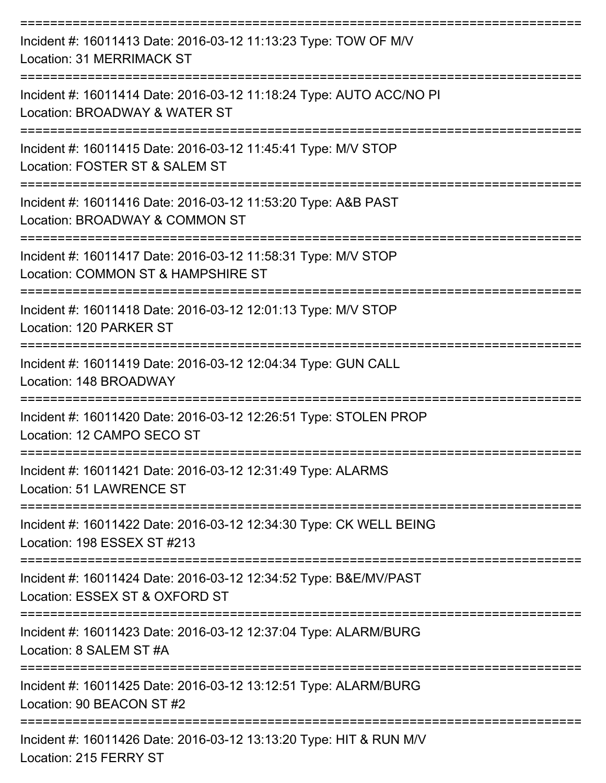| Incident #: 16011413 Date: 2016-03-12 11:13:23 Type: TOW OF M/V<br>Location: 31 MERRIMACK ST         |
|------------------------------------------------------------------------------------------------------|
| Incident #: 16011414 Date: 2016-03-12 11:18:24 Type: AUTO ACC/NO PI<br>Location: BROADWAY & WATER ST |
| Incident #: 16011415 Date: 2016-03-12 11:45:41 Type: M/V STOP<br>Location: FOSTER ST & SALEM ST      |
| Incident #: 16011416 Date: 2016-03-12 11:53:20 Type: A&B PAST<br>Location: BROADWAY & COMMON ST      |
| Incident #: 16011417 Date: 2016-03-12 11:58:31 Type: M/V STOP<br>Location: COMMON ST & HAMPSHIRE ST  |
| Incident #: 16011418 Date: 2016-03-12 12:01:13 Type: M/V STOP<br>Location: 120 PARKER ST             |
| Incident #: 16011419 Date: 2016-03-12 12:04:34 Type: GUN CALL<br>Location: 148 BROADWAY              |
| Incident #: 16011420 Date: 2016-03-12 12:26:51 Type: STOLEN PROP<br>Location: 12 CAMPO SECO ST       |
| Incident #: 16011421 Date: 2016-03-12 12:31:49 Type: ALARMS<br>Location: 51 LAWRENCE ST              |
| Incident #: 16011422 Date: 2016-03-12 12:34:30 Type: CK WELL BEING<br>Location: 198 ESSEX ST #213    |
| Incident #: 16011424 Date: 2016-03-12 12:34:52 Type: B&E/MV/PAST<br>Location: ESSEX ST & OXFORD ST   |
| Incident #: 16011423 Date: 2016-03-12 12:37:04 Type: ALARM/BURG<br>Location: 8 SALEM ST #A           |
| Incident #: 16011425 Date: 2016-03-12 13:12:51 Type: ALARM/BURG<br>Location: 90 BEACON ST #2         |
| Incident #: 16011426 Date: 2016-03-12 13:13:20 Type: HIT & RUN M/V<br>Location: 215 FERRY ST         |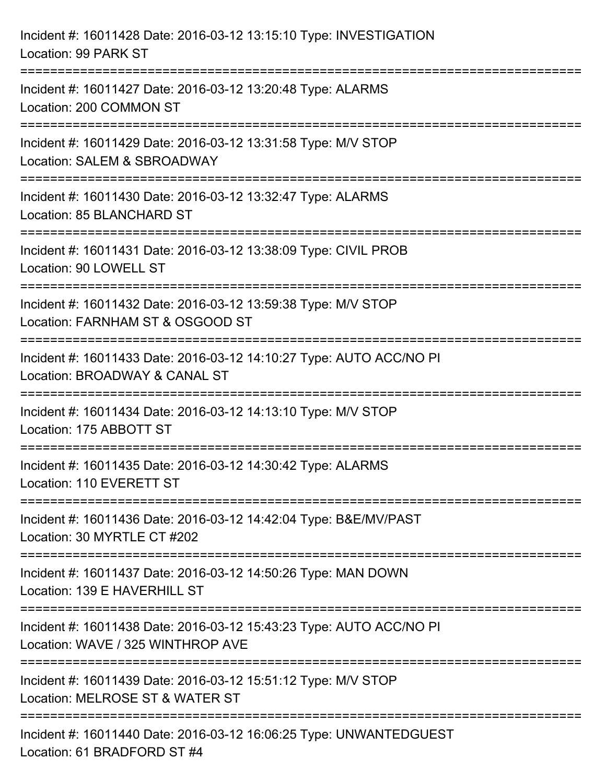| Incident #: 16011428 Date: 2016-03-12 13:15:10 Type: INVESTIGATION<br>Location: 99 PARK ST                                          |
|-------------------------------------------------------------------------------------------------------------------------------------|
| ====================================<br>Incident #: 16011427 Date: 2016-03-12 13:20:48 Type: ALARMS<br>Location: 200 COMMON ST      |
| ===================================<br>Incident #: 16011429 Date: 2016-03-12 13:31:58 Type: M/V STOP<br>Location: SALEM & SBROADWAY |
| Incident #: 16011430 Date: 2016-03-12 13:32:47 Type: ALARMS<br>Location: 85 BLANCHARD ST                                            |
| Incident #: 16011431 Date: 2016-03-12 13:38:09 Type: CIVIL PROB<br>Location: 90 LOWELL ST                                           |
| Incident #: 16011432 Date: 2016-03-12 13:59:38 Type: M/V STOP<br>Location: FARNHAM ST & OSGOOD ST                                   |
| :==================<br>Incident #: 16011433 Date: 2016-03-12 14:10:27 Type: AUTO ACC/NO PI<br>Location: BROADWAY & CANAL ST         |
| Incident #: 16011434 Date: 2016-03-12 14:13:10 Type: M/V STOP<br>Location: 175 ABBOTT ST                                            |
| Incident #: 16011435 Date: 2016-03-12 14:30:42 Type: ALARMS<br>Location: 110 EVERETT ST                                             |
| Incident #: 16011436 Date: 2016-03-12 14:42:04 Type: B&E/MV/PAST<br>Location: 30 MYRTLE CT #202                                     |
| Incident #: 16011437 Date: 2016-03-12 14:50:26 Type: MAN DOWN<br>Location: 139 E HAVERHILL ST                                       |
| Incident #: 16011438 Date: 2016-03-12 15:43:23 Type: AUTO ACC/NO PI<br>Location: WAVE / 325 WINTHROP AVE                            |
| Incident #: 16011439 Date: 2016-03-12 15:51:12 Type: M/V STOP<br>Location: MELROSE ST & WATER ST                                    |
| Incident #: 16011440 Date: 2016-03-12 16:06:25 Type: UNWANTEDGUEST<br>Location: 61 BRADFORD ST #4                                   |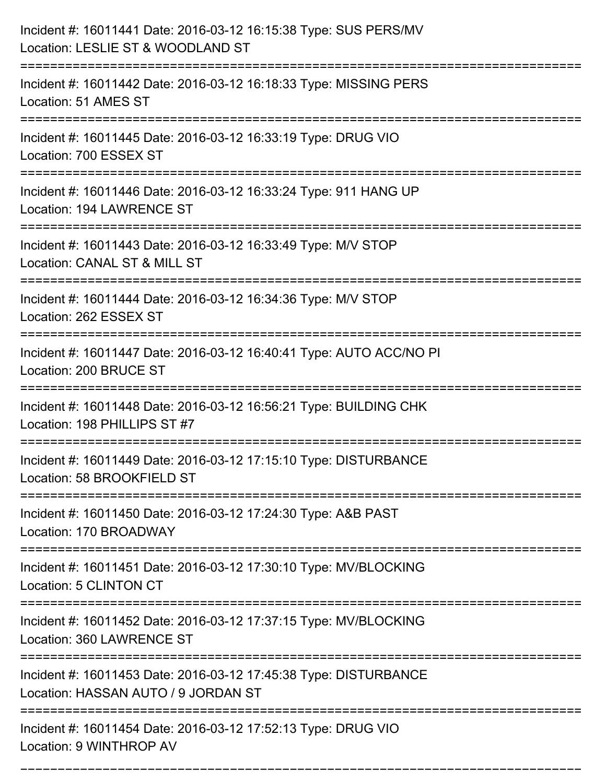| Incident #: 16011441 Date: 2016-03-12 16:15:38 Type: SUS PERS/MV<br>Location: LESLIE ST & WOODLAND ST                              |
|------------------------------------------------------------------------------------------------------------------------------------|
| Incident #: 16011442 Date: 2016-03-12 16:18:33 Type: MISSING PERS<br>Location: 51 AMES ST                                          |
| Incident #: 16011445 Date: 2016-03-12 16:33:19 Type: DRUG VIO<br>Location: 700 ESSEX ST                                            |
| Incident #: 16011446 Date: 2016-03-12 16:33:24 Type: 911 HANG UP<br>Location: 194 LAWRENCE ST                                      |
| Incident #: 16011443 Date: 2016-03-12 16:33:49 Type: M/V STOP<br>Location: CANAL ST & MILL ST<br>:============================     |
| Incident #: 16011444 Date: 2016-03-12 16:34:36 Type: M/V STOP<br>Location: 262 ESSEX ST                                            |
| Incident #: 16011447 Date: 2016-03-12 16:40:41 Type: AUTO ACC/NO PI<br>Location: 200 BRUCE ST                                      |
| Incident #: 16011448 Date: 2016-03-12 16:56:21 Type: BUILDING CHK<br>Location: 198 PHILLIPS ST #7                                  |
| Incident #: 16011449 Date: 2016-03-12 17:15:10 Type: DISTURBANCE<br>Location: 58 BROOKFIELD ST                                     |
| Incident #: 16011450 Date: 2016-03-12 17:24:30 Type: A&B PAST<br>Location: 170 BROADWAY                                            |
| Incident #: 16011451 Date: 2016-03-12 17:30:10 Type: MV/BLOCKING<br>Location: 5 CLINTON CT                                         |
| Incident #: 16011452 Date: 2016-03-12 17:37:15 Type: MV/BLOCKING<br>Location: 360 LAWRENCE ST<br>================================= |
| Incident #: 16011453 Date: 2016-03-12 17:45:38 Type: DISTURBANCE<br>Location: HASSAN AUTO / 9 JORDAN ST                            |
| Incident #: 16011454 Date: 2016-03-12 17:52:13 Type: DRUG VIO<br>Location: 9 WINTHROP AV                                           |

===========================================================================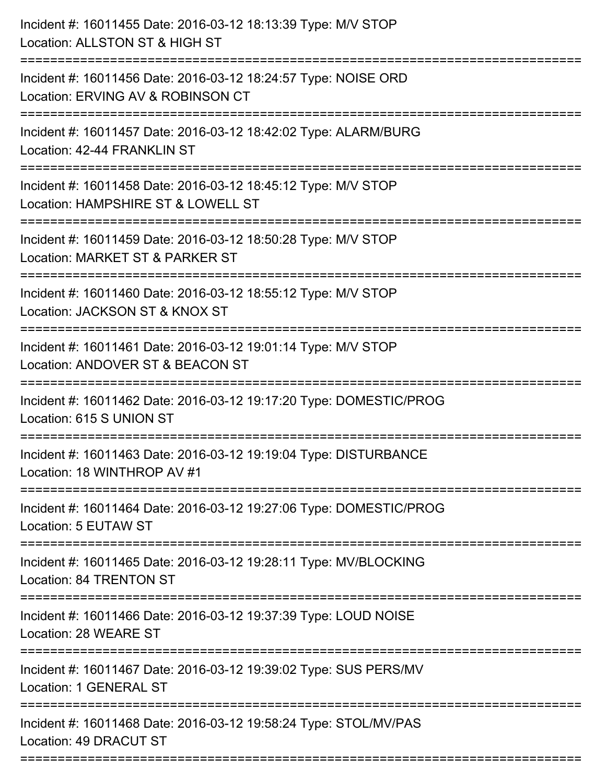| Incident #: 16011455 Date: 2016-03-12 18:13:39 Type: M/V STOP<br>Location: ALLSTON ST & HIGH ST                                       |
|---------------------------------------------------------------------------------------------------------------------------------------|
| ------------------------------<br>Incident #: 16011456 Date: 2016-03-12 18:24:57 Type: NOISE ORD<br>Location: ERVING AV & ROBINSON CT |
| Incident #: 16011457 Date: 2016-03-12 18:42:02 Type: ALARM/BURG<br>Location: 42-44 FRANKLIN ST                                        |
| Incident #: 16011458 Date: 2016-03-12 18:45:12 Type: M/V STOP<br>Location: HAMPSHIRE ST & LOWELL ST                                   |
| Incident #: 16011459 Date: 2016-03-12 18:50:28 Type: M/V STOP<br>Location: MARKET ST & PARKER ST<br>===========================       |
| Incident #: 16011460 Date: 2016-03-12 18:55:12 Type: M/V STOP<br>Location: JACKSON ST & KNOX ST                                       |
| Incident #: 16011461 Date: 2016-03-12 19:01:14 Type: M/V STOP<br>Location: ANDOVER ST & BEACON ST                                     |
| Incident #: 16011462 Date: 2016-03-12 19:17:20 Type: DOMESTIC/PROG<br>Location: 615 S UNION ST                                        |
| Incident #: 16011463 Date: 2016-03-12 19:19:04 Type: DISTURBANCE<br>Location: 18 WINTHROP AV #1                                       |
| Incident #: 16011464 Date: 2016-03-12 19:27:06 Type: DOMESTIC/PROG<br>Location: 5 EUTAW ST                                            |
| Incident #: 16011465 Date: 2016-03-12 19:28:11 Type: MV/BLOCKING<br>Location: 84 TRENTON ST                                           |
| Incident #: 16011466 Date: 2016-03-12 19:37:39 Type: LOUD NOISE<br>Location: 28 WEARE ST                                              |
| Incident #: 16011467 Date: 2016-03-12 19:39:02 Type: SUS PERS/MV<br>Location: 1 GENERAL ST                                            |
| Incident #: 16011468 Date: 2016-03-12 19:58:24 Type: STOL/MV/PAS<br>Location: 49 DRACUT ST                                            |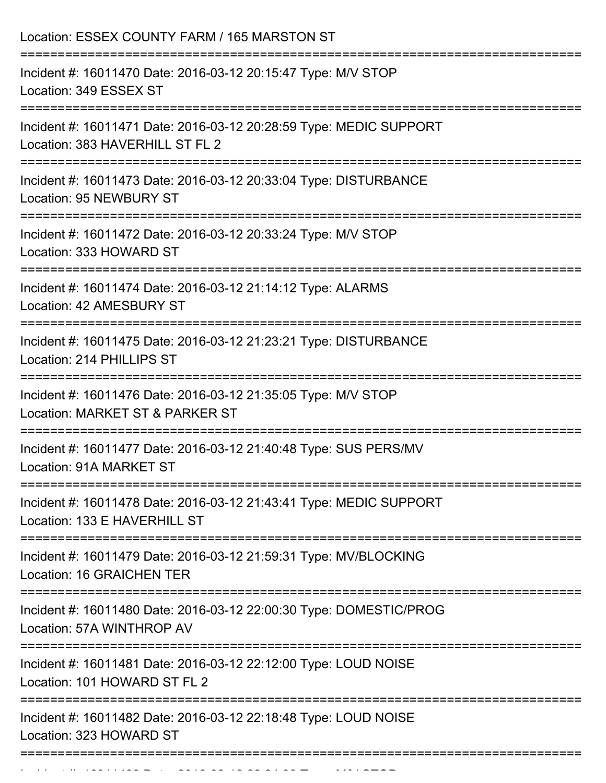| ---------------------<br>;=================================== | Location: ESSEX COUNTY FARM / 165 MARSTON ST                                                          |
|---------------------------------------------------------------|-------------------------------------------------------------------------------------------------------|
|                                                               | Incident #: 16011470 Date: 2016-03-12 20:15:47 Type: M/V STOP<br>Location: 349 ESSEX ST               |
|                                                               | Incident #: 16011471 Date: 2016-03-12 20:28:59 Type: MEDIC SUPPORT<br>Location: 383 HAVERHILL ST FL 2 |
|                                                               | Incident #: 16011473 Date: 2016-03-12 20:33:04 Type: DISTURBANCE<br>Location: 95 NEWBURY ST           |
|                                                               | Incident #: 16011472 Date: 2016-03-12 20:33:24 Type: M/V STOP<br>Location: 333 HOWARD ST              |
|                                                               | Incident #: 16011474 Date: 2016-03-12 21:14:12 Type: ALARMS<br>Location: 42 AMESBURY ST               |
|                                                               | Incident #: 16011475 Date: 2016-03-12 21:23:21 Type: DISTURBANCE<br>Location: 214 PHILLIPS ST         |
|                                                               | Incident #: 16011476 Date: 2016-03-12 21:35:05 Type: M/V STOP<br>Location: MARKET ST & PARKER ST      |
|                                                               | Incident #: 16011477 Date: 2016-03-12 21:40:48 Type: SUS PERS/MV<br>Location: 91A MARKET ST           |
|                                                               | Incident #: 16011478 Date: 2016-03-12 21:43:41 Type: MEDIC SUPPORT<br>Location: 133 E HAVERHILL ST    |
|                                                               | Incident #: 16011479 Date: 2016-03-12 21:59:31 Type: MV/BLOCKING<br>Location: 16 GRAICHEN TER         |
|                                                               | Incident #: 16011480 Date: 2016-03-12 22:00:30 Type: DOMESTIC/PROG<br>Location: 57A WINTHROP AV       |
|                                                               | Incident #: 16011481 Date: 2016-03-12 22:12:00 Type: LOUD NOISE<br>Location: 101 HOWARD ST FL 2       |
|                                                               | Incident #: 16011482 Date: 2016-03-12 22:18:48 Type: LOUD NOISE<br>Location: 323 HOWARD ST            |

Incident #: 16011483 Date: 2016 03 12 22:24:25 Type: Microsoft.com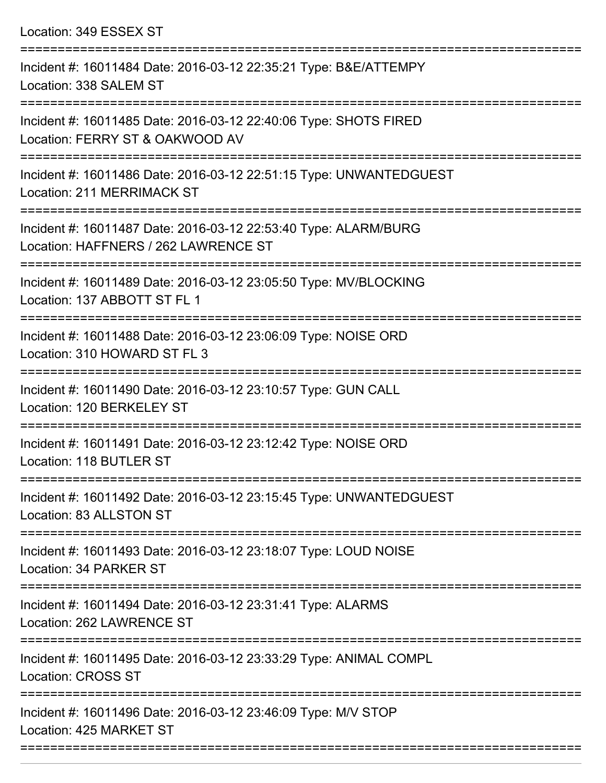| Incident #: 16011484 Date: 2016-03-12 22:35:21 Type: B&E/ATTEMPY<br>Location: 338 SALEM ST              |
|---------------------------------------------------------------------------------------------------------|
| Incident #: 16011485 Date: 2016-03-12 22:40:06 Type: SHOTS FIRED<br>Location: FERRY ST & OAKWOOD AV     |
| Incident #: 16011486 Date: 2016-03-12 22:51:15 Type: UNWANTEDGUEST<br><b>Location: 211 MERRIMACK ST</b> |
| Incident #: 16011487 Date: 2016-03-12 22:53:40 Type: ALARM/BURG<br>Location: HAFFNERS / 262 LAWRENCE ST |
| Incident #: 16011489 Date: 2016-03-12 23:05:50 Type: MV/BLOCKING<br>Location: 137 ABBOTT ST FL 1        |
| Incident #: 16011488 Date: 2016-03-12 23:06:09 Type: NOISE ORD<br>Location: 310 HOWARD ST FL 3          |
| Incident #: 16011490 Date: 2016-03-12 23:10:57 Type: GUN CALL<br>Location: 120 BERKELEY ST<br>========= |
| Incident #: 16011491 Date: 2016-03-12 23:12:42 Type: NOISE ORD<br>Location: 118 BUTLER ST               |
| Incident #: 16011492 Date: 2016-03-12 23:15:45 Type: UNWANTEDGUEST<br>Location: 83 ALLSTON ST           |
| Incident #: 16011493 Date: 2016-03-12 23:18:07 Type: LOUD NOISE<br>Location: 34 PARKER ST               |
| Incident #: 16011494 Date: 2016-03-12 23:31:41 Type: ALARMS<br>Location: 262 LAWRENCE ST                |
| Incident #: 16011495 Date: 2016-03-12 23:33:29 Type: ANIMAL COMPL<br><b>Location: CROSS ST</b>          |
| Incident #: 16011496 Date: 2016-03-12 23:46:09 Type: M/V STOP<br>Location: 425 MARKET ST                |
|                                                                                                         |